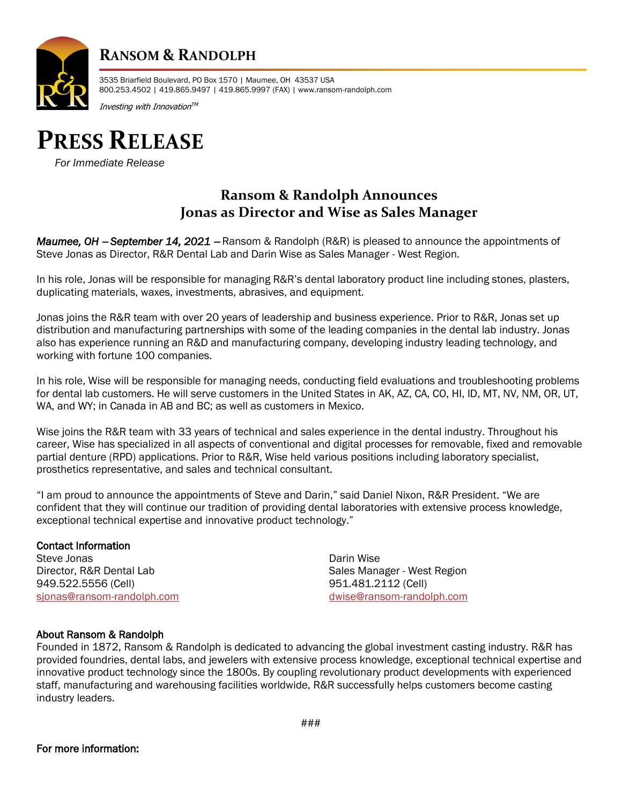

## **RANSOM & RANDOLPH**

3535 Briarfield Boulevard, PO Box 1570 | Maumee, OH 43537 USA 800.253.4502 | 419.865.9497 | 419.865.9997 (FAX) | www.ransom-randolph.com

Investing with Innovation $^{\tau \mathsf{M}}$ 

# **PRESS RELEASE**

*For Immediate Release*

## **Ransom & Randolph Announces Jonas as Director and Wise as Sales Manager**

*Maumee, OH* − *September 14, 2021* <sup>−</sup> Ransom & Randolph (R&R) is pleased to announce the appointments of Steve Jonas as Director, R&R Dental Lab and Darin Wise as Sales Manager - West Region.

In his role, Jonas will be responsible for managing R&R's dental laboratory product line including stones, plasters, duplicating materials, waxes, investments, abrasives, and equipment.

Jonas joins the R&R team with over 20 years of leadership and business experience. Prior to R&R, Jonas set up distribution and manufacturing partnerships with some of the leading companies in the dental lab industry. Jonas also has experience running an R&D and manufacturing company, developing industry leading technology, and working with fortune 100 companies.

In his role, Wise will be responsible for managing needs, conducting field evaluations and troubleshooting problems for dental lab customers. He will serve customers in the United States in AK, AZ, CA, CO, HI, ID, MT, NV, NM, OR, UT, WA, and WY; in Canada in AB and BC; as well as customers in Mexico.

Wise joins the R&R team with 33 years of technical and sales experience in the dental industry. Throughout his career, Wise has specialized in all aspects of conventional and digital processes for removable, fixed and removable partial denture (RPD) applications. Prior to R&R, Wise held various positions including laboratory specialist, prosthetics representative, and sales and technical consultant.

"I am proud to announce the appointments of Steve and Darin," said Daniel Nixon, R&R President. "We are confident that they will continue our tradition of providing dental laboratories with extensive process knowledge, exceptional technical expertise and innovative product technology."

#### Contact Information

Steve Jonas **Darin Wise** Darin Wise **Darin Wise** Darin Wise **Darin Wise** Director, R&R Dental Lab Sales Manager - West Region 949.522.5556 (Cell) 951.481.2112 (Cell) [sjonas@ransom-randolph.com](mailto:sjonas@ransom-randolph.com) [dwise@ransom-randolph.com](mailto:dwise@ransom-randolph.com)

#### About Ransom & Randolph

Founded in 1872, Ransom & Randolph is dedicated to advancing the global investment casting industry. R&R has provided foundries, dental labs, and jewelers with extensive process knowledge, exceptional technical expertise and innovative product technology since the 1800s. By coupling revolutionary product developments with experienced staff, manufacturing and warehousing facilities worldwide, R&R successfully helps customers become casting industry leaders.